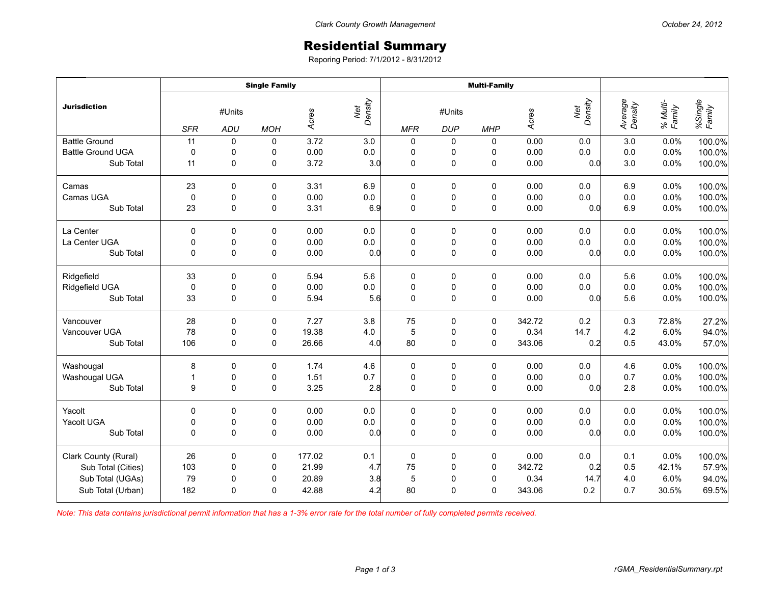## Residential Summary

Reporing Period: 7/1/2012 - 8/31/2012

|                          | <b>Single Family</b> |                      |            |        |                | <b>Multi-Family</b> |                      |             |        |                |                    |                    |                   |
|--------------------------|----------------------|----------------------|------------|--------|----------------|---------------------|----------------------|-------------|--------|----------------|--------------------|--------------------|-------------------|
| <b>Jurisdiction</b>      | <b>SFR</b>           | #Units<br><b>ADU</b> | <b>MOH</b> | Acres  | Net<br>Density | <b>MFR</b>          | #Units<br><b>DUP</b> | <b>MHP</b>  | Acres  | Net<br>Density | Average<br>Density | % Multi-<br>Family | %Single<br>Family |
| <b>Battle Ground</b>     | 11                   | $\pmb{0}$            | 0          | 3.72   | 3.0            | $\pmb{0}$           | 0                    | 0           | 0.00   | 0.0            | 3.0                | 0.0%               | 100.0%            |
| <b>Battle Ground UGA</b> | $\mathbf 0$          | 0                    | 0          | 0.00   | $0.0\,$        | $\pmb{0}$           | 0                    | 0           | 0.00   | 0.0            | $0.0\,$            | 0.0%               | 100.0%            |
| Sub Total                | 11                   | 0                    | 0          | 3.72   | 3.0            | $\mathbf 0$         | $\pmb{0}$            | $\mathbf 0$ | 0.00   | 0.0            | 3.0                | 0.0%               | 100.0%            |
| Camas                    | 23                   | 0                    | 0          | 3.31   | 6.9            | $\pmb{0}$           | 0                    | $\pmb{0}$   | 0.00   | 0.0            | 6.9                | 0.0%               | 100.0%            |
| Camas UGA                | $\mathbf 0$          | $\pmb{0}$            | 0          | 0.00   | $0.0\,$        | $\pmb{0}$           | $\pmb{0}$            | $\pmb{0}$   | 0.00   | 0.0            | $0.0\,$            | 0.0%               | 100.0%            |
| Sub Total                | 23                   | 0                    | 0          | 3.31   | 6.9            | $\mathbf 0$         | $\pmb{0}$            | $\pmb{0}$   | 0.00   | 0.0            | 6.9                | 0.0%               | 100.0%            |
| La Center                | $\Omega$             | $\Omega$             | 0          | 0.00   | 0.0            | 0                   | 0                    | 0           | 0.00   | 0.0            | 0.0                | 0.0%               | 100.0%            |
| La Center UGA            | 0                    | $\pmb{0}$            | 0          | 0.00   | $0.0\,$        | $\pmb{0}$           | $\pmb{0}$            | $\pmb{0}$   | 0.00   | 0.0            | $0.0\,$            | 0.0%               | 100.0%            |
| Sub Total                | 0                    | $\mathbf 0$          | 0          | 0.00   | 0.0            | $\mathbf 0$         | $\mathsf{O}\xspace$  | $\pmb{0}$   | 0.00   | 0.0            | 0.0                | 0.0%               | 100.0%            |
| Ridgefield               | 33                   | $\Omega$             | 0          | 5.94   | 5.6            | 0                   | 0                    | 0           | 0.00   | 0.0            | 5.6                | 0.0%               | 100.0%            |
| Ridgefield UGA           | $\mathbf 0$          | $\mathbf 0$          | 0          | 0.00   | $0.0\,$        | $\pmb{0}$           | $\pmb{0}$            | $\pmb{0}$   | 0.00   | 0.0            | 0.0                | 0.0%               | 100.0%            |
| Sub Total                | 33                   | $\mathbf 0$          | 0          | 5.94   | 5.6            | $\mathbf 0$         | $\mathsf 0$          | $\pmb{0}$   | 0.00   | 0.0            | 5.6                | 0.0%               | 100.0%            |
| Vancouver                | 28                   | 0                    | 0          | 7.27   | 3.8            | 75                  | 0                    | $\pmb{0}$   | 342.72 | 0.2            | 0.3                | 72.8%              | 27.2%             |
| Vancouver UGA            | 78                   | $\pmb{0}$            | 0          | 19.38  | 4.0            | 5                   | $\pmb{0}$            | $\pmb{0}$   | 0.34   | 14.7           | 4.2                | 6.0%               | 94.0%             |
| Sub Total                | 106                  | 0                    | 0          | 26.66  | 4.0            | 80                  | $\mathbf 0$          | $\mathbf 0$ | 343.06 | 0.2            | 0.5                | 43.0%              | 57.0%             |
| Washougal                | 8                    | $\mathbf 0$          | 0          | 1.74   | 4.6            | $\pmb{0}$           | $\pmb{0}$            | $\pmb{0}$   | 0.00   | 0.0            | 4.6                | 0.0%               | 100.0%            |
| Washougal UGA            | $\mathbf{1}$         | 0                    | 0          | 1.51   | 0.7            | $\pmb{0}$           | 0                    | 0           | 0.00   | 0.0            | 0.7                | 0.0%               | 100.0%            |
| Sub Total                | 9                    | $\Omega$             | $\Omega$   | 3.25   | 2.8            | $\mathbf 0$         | $\mathbf 0$          | $\mathbf 0$ | 0.00   | 0.0            | 2.8                | 0.0%               | 100.0%            |
| Yacolt                   | 0                    | $\mathbf 0$          | 0          | 0.00   | 0.0            | $\pmb{0}$           | $\pmb{0}$            | $\pmb{0}$   | 0.00   | 0.0            | 0.0                | 0.0%               | 100.0%            |
| Yacolt UGA               | $\pmb{0}$            | $\pmb{0}$            | 0          | 0.00   | $0.0\,$        | $\pmb{0}$           | $\pmb{0}$            | $\pmb{0}$   | 0.00   | 0.0            | 0.0                | 0.0%               | 100.0%            |
| Sub Total                | $\Omega$             | $\Omega$             | 0          | 0.00   | 0.0            | $\Omega$            | $\mathbf 0$          | $\mathbf 0$ | 0.00   | 0.0            | 0.0                | 0.0%               | 100.0%            |
| Clark County (Rural)     | 26                   | $\Omega$             | 0          | 177.02 | 0.1            | $\pmb{0}$           | 0                    | $\pmb{0}$   | 0.00   | 0.0            | 0.1                | 0.0%               | 100.0%            |
| Sub Total (Cities)       | 103                  | 0                    | 0          | 21.99  | 4.7            | 75                  | $\pmb{0}$            | $\mathbf 0$ | 342.72 | 0.2            | 0.5                | 42.1%              | 57.9%             |
| Sub Total (UGAs)         | 79                   | 0                    | 0          | 20.89  | 3.8            | 5                   | $\pmb{0}$            | 0           | 0.34   | 14.7           | 4.0                | 6.0%               | 94.0%             |
| Sub Total (Urban)        | 182                  | $\Omega$             | $\Omega$   | 42.88  | 4.2            | 80                  | $\mathbf 0$          | $\mathbf 0$ | 343.06 | 0.2            | 0.7                | 30.5%              | 69.5%             |

*Note: This data contains jurisdictional permit information that has a 1-3% error rate for the total number of fully completed permits received.*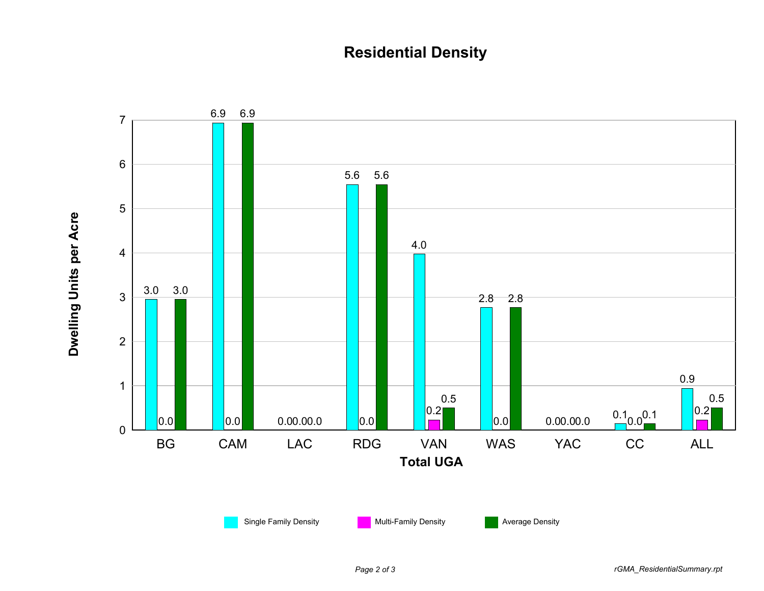## **Residential Density**